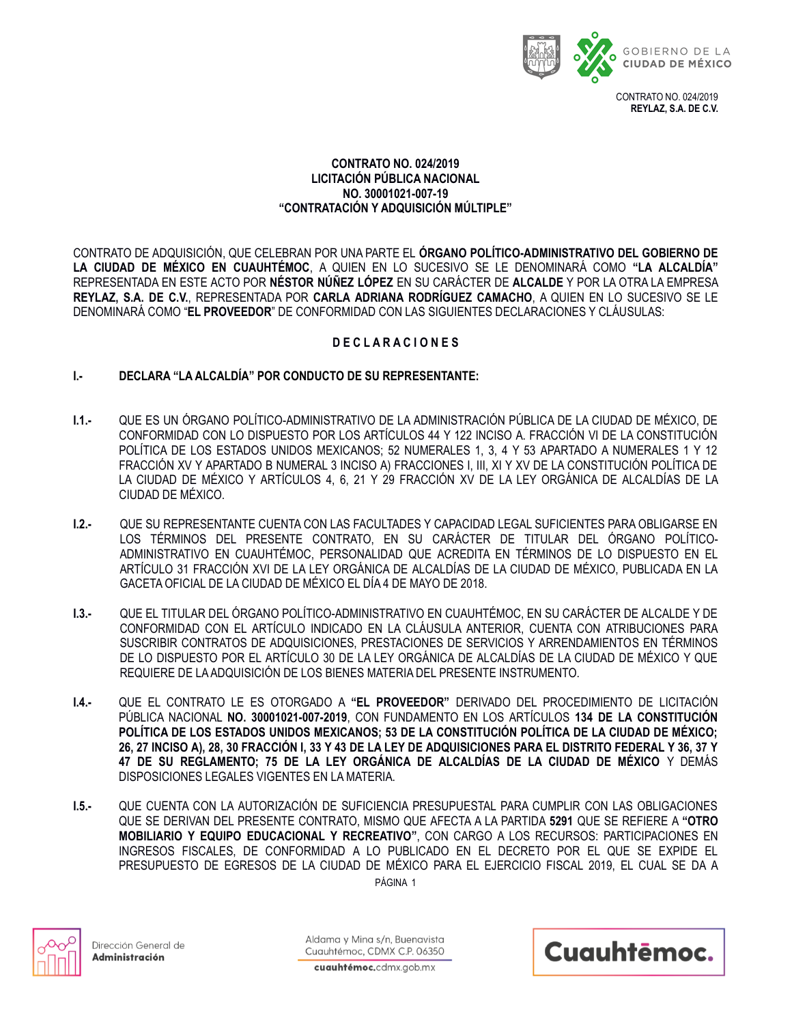

## **CONTRATO NO. 024/2019 LICITACIÓN PÚBLICA NACIONAL NO. 30001021-007-19 "CONTRATACIÓN Y ADQUISICIÓN MÚLTIPLE"**

CONTRATO DE ADQUISICIÓN, QUE CELEBRAN POR UNA PARTE EL **ÓRGANO POLÍTICO-ADMINISTRATIVO DEL GOBIERNO DE LA CIUDAD DE MÉXICO EN CUAUHTÉMOC**, A QUIEN EN LO SUCESIVO SE LE DENOMINARÁ COMO **"LA ALCALDÍA"**  REPRESENTADA EN ESTE ACTO POR **NÉSTOR NÚÑEZ LÓPEZ** EN SU CARÁCTER DE **ALCALDE** Y POR LA OTRA LA EMPRESA **REYLAZ, S.A. DE C.V.**, REPRESENTADA POR **CARLA ADRIANA RODRÍGUEZ CAMACHO**, A QUIEN EN LO SUCESIVO SE LE DENOMINARÁ COMO "**EL PROVEEDOR**" DE CONFORMIDAD CON LAS SIGUIENTES DECLARACIONES Y CLÁUSULAS:

## **D E C L A R A C I O N E S**

## **I.- DECLARA "LA ALCALDÍA" POR CONDUCTO DE SU REPRESENTANTE:**

- **I.1.-** QUE ES UN ÓRGANO POLÍTICO-ADMINISTRATIVO DE LA ADMINISTRACIÓN PÚBLICA DE LA CIUDAD DE MÉXICO, DE CONFORMIDAD CON LO DISPUESTO POR LOS ARTÍCULOS 44 Y 122 INCISO A. FRACCIÓN VI DE LA CONSTITUCIÓN POLÍTICA DE LOS ESTADOS UNIDOS MEXICANOS; 52 NUMERALES 1, 3, 4 Y 53 APARTADO A NUMERALES 1 Y 12 FRACCIÓN XV Y APARTADO B NUMERAL 3 INCISO A) FRACCIONES I, III, XI Y XV DE LA CONSTITUCIÓN POLÍTICA DE LA CIUDAD DE MÉXICO Y ARTÍCULOS 4, 6, 21 Y 29 FRACCIÓN XV DE LA LEY ORGÁNICA DE ALCALDÍAS DE LA CIUDAD DE MÉXICO.
- **I.2.-** QUE SU REPRESENTANTE CUENTA CON LAS FACULTADES Y CAPACIDAD LEGAL SUFICIENTES PARA OBLIGARSE EN LOS TÉRMINOS DEL PRESENTE CONTRATO, EN SU CARÁCTER DE TITULAR DEL ÓRGANO POLÍTICO-ADMINISTRATIVO EN CUAUHTÉMOC, PERSONALIDAD QUE ACREDITA EN TÉRMINOS DE LO DISPUESTO EN EL ARTÍCULO 31 FRACCIÓN XVI DE LA LEY ORGÁNICA DE ALCALDÍAS DE LA CIUDAD DE MÉXICO, PUBLICADA EN LA GACETA OFICIAL DE LA CIUDAD DE MÉXICO EL DÍA 4 DE MAYO DE 2018.
- **I.3.-** QUE EL TITULAR DEL ÓRGANO POLÍTICO-ADMINISTRATIVO EN CUAUHTÉMOC, EN SU CARÁCTER DE ALCALDE Y DE CONFORMIDAD CON EL ARTÍCULO INDICADO EN LA CLÁUSULA ANTERIOR, CUENTA CON ATRIBUCIONES PARA SUSCRIBIR CONTRATOS DE ADQUISICIONES, PRESTACIONES DE SERVICIOS Y ARRENDAMIENTOS EN TÉRMINOS DE LO DISPUESTO POR EL ARTÍCULO 30 DE LA LEY ORGÁNICA DE ALCALDÍAS DE LA CIUDAD DE MÉXICO Y QUE REQUIERE DE LA ADQUISICIÓN DE LOS BIENES MATERIA DEL PRESENTE INSTRUMENTO.
- **I.4.-** QUE EL CONTRATO LE ES OTORGADO A **"EL PROVEEDOR"** DERIVADO DEL PROCEDIMIENTO DE LICITACIÓN PÚBLICA NACIONAL **NO. 30001021-007-2019**, CON FUNDAMENTO EN LOS ARTÍCULOS **134 DE LA CONSTITUCIÓN POLÍTICA DE LOS ESTADOS UNIDOS MEXICANOS; 53 DE LA CONSTITUCIÓN POLÍTICA DE LA CIUDAD DE MÉXICO; 26, 27 INCISO A), 28, 30 FRACCIÓN I, 33 Y 43 DE LA LEY DE ADQUISICIONES PARA EL DISTRITO FEDERAL Y 36, 37 Y 47 DE SU REGLAMENTO; 75 DE LA LEY ORGÁNICA DE ALCALDÍAS DE LA CIUDAD DE MÉXICO** Y DEMÁS DISPOSICIONES LEGALES VIGENTES EN LA MATERIA.
- PÁGINA 1 **I.5.-** QUE CUENTA CON LA AUTORIZACIÓN DE SUFICIENCIA PRESUPUESTAL PARA CUMPLIR CON LAS OBLIGACIONES QUE SE DERIVAN DEL PRESENTE CONTRATO, MISMO QUE AFECTA A LA PARTIDA **5291** QUE SE REFIERE A **"OTRO MOBILIARIO Y EQUIPO EDUCACIONAL Y RECREATIVO"**, CON CARGO A LOS RECURSOS: PARTICIPACIONES EN INGRESOS FISCALES, DE CONFORMIDAD A LO PUBLICADO EN EL DECRETO POR EL QUE SE EXPIDE EL PRESUPUESTO DE EGRESOS DE LA CIUDAD DE MÉXICO PARA EL EJERCICIO FISCAL 2019, EL CUAL SE DA A



Dirección General de Administración

Aldama y Mina s/n, Buenavista Cuauhtémoc, CDMX C.P. 06350

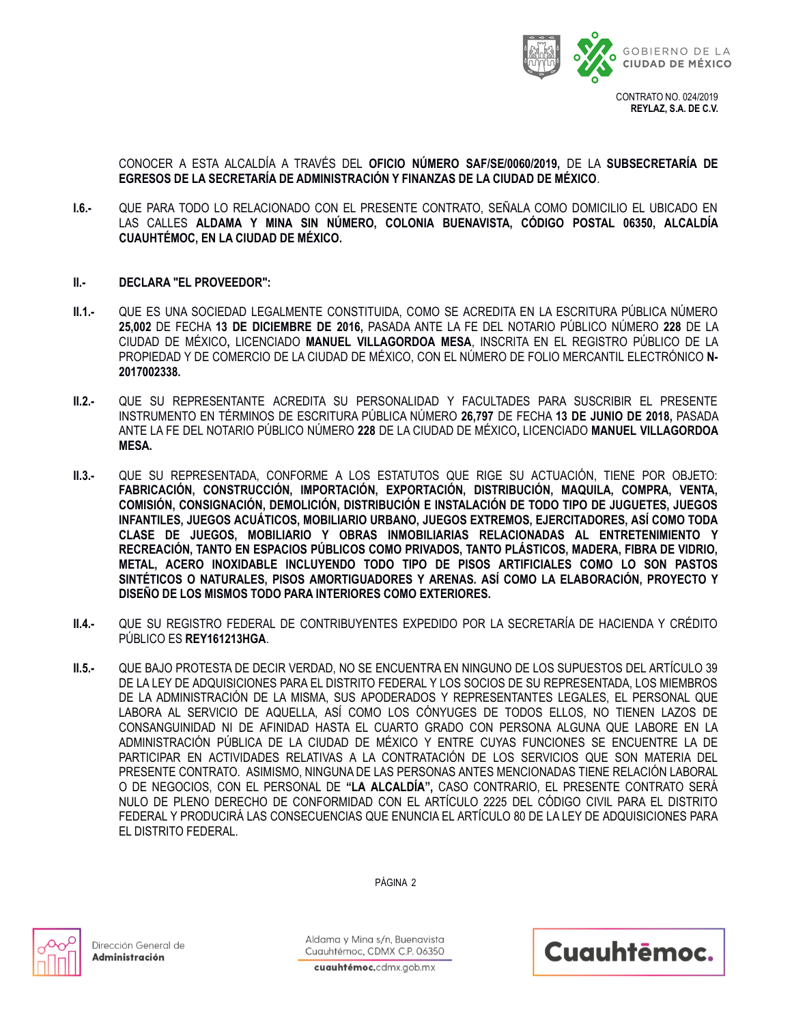

**REYLAZ, S.A. DE C.V.**

CONOCER A ESTA ALCALDÍA A TRAVÉS DEL **OFICIO NÚMERO SAF/SE/0060/2019,** DE LA **SUBSECRETARÍA DE EGRESOS DE LA SECRETARÍA DE ADMINISTRACIÓN Y FINANZAS DE LA CIUDAD DE MÉXICO**.

- **I.6.-** QUE PARA TODO LO RELACIONADO CON EL PRESENTE CONTRATO, SEÑALA COMO DOMICILIO EL UBICADO EN LAS CALLES **ALDAMA Y MINA SIN NÚMERO, COLONIA BUENAVISTA, CÓDIGO POSTAL 06350, ALCALDÍA CUAUHTÉMOC, EN LA CIUDAD DE MÉXICO.**
- **II.- DECLARA "EL PROVEEDOR":**
- **II.1.-** QUE ES UNA SOCIEDAD LEGALMENTE CONSTITUIDA, COMO SE ACREDITA EN LA ESCRITURA PÚBLICA NÚMERO **25,002** DE FECHA **13 DE DICIEMBRE DE 2016,** PASADA ANTE LA FE DEL NOTARIO PÚBLICO NÚMERO **228** DE LA CIUDAD DE MÉXICO**,** LICENCIADO **MANUEL VILLAGORDOA MESA**, INSCRITA EN EL REGISTRO PÚBLICO DE LA PROPIEDAD Y DE COMERCIO DE LA CIUDAD DE MÉXICO, CON EL NÚMERO DE FOLIO MERCANTIL ELECTRÓNICO **N-2017002338.**
- **II.2.-** QUE SU REPRESENTANTE ACREDITA SU PERSONALIDAD Y FACULTADES PARA SUSCRIBIR EL PRESENTE INSTRUMENTO EN TÉRMINOS DE ESCRITURA PÚBLICA NÚMERO **26,797** DE FECHA **13 DE JUNIO DE 2018,** PASADA ANTE LA FE DEL NOTARIO PÚBLICO NÚMERO **228** DE LA CIUDAD DE MÉXICO**,** LICENCIADO **MANUEL VILLAGORDOA MESA.**
- **II.3.-** QUE SU REPRESENTADA, CONFORME A LOS ESTATUTOS QUE RIGE SU ACTUACIÓN, TIENE POR OBJETO: **FABRICACIÓN, CONSTRUCCIÓN, IMPORTACIÓN, EXPORTACIÓN, DISTRIBUCIÓN, MAQUILA, COMPRA, VENTA, COMISIÓN, CONSIGNACIÓN, DEMOLICIÓN, DISTRIBUCIÓN E INSTALACIÓN DE TODO TIPO DE JUGUETES, JUEGOS INFANTILES, JUEGOS ACUÁTICOS, MOBILIARIO URBANO, JUEGOS EXTREMOS, EJERCITADORES, ASÍ COMO TODA CLASE DE JUEGOS, MOBILIARIO Y OBRAS INMOBILIARIAS RELACIONADAS AL ENTRETENIMIENTO Y RECREACIÓN, TANTO EN ESPACIOS PÚBLICOS COMO PRIVADOS, TANTO PLÁSTICOS, MADERA, FIBRA DE VIDRIO, METAL, ACERO INOXIDABLE INCLUYENDO TODO TIPO DE PISOS ARTIFICIALES COMO LO SON PASTOS SINTÉTICOS O NATURALES, PISOS AMORTIGUADORES Y ARENAS. ASÍ COMO LA ELABORACIÓN, PROYECTO Y DISEÑO DE LOS MISMOS TODO PARA INTERIORES COMO EXTERIORES.**
- **II.4.-** QUE SU REGISTRO FEDERAL DE CONTRIBUYENTES EXPEDIDO POR LA SECRETARÍA DE HACIENDA Y CRÉDITO PÚBLICO ES **REY161213HGA**.
- **II.5.-** QUE BAJO PROTESTA DE DECIR VERDAD, NO SE ENCUENTRA EN NINGUNO DE LOS SUPUESTOS DEL ARTÍCULO 39 DE LA LEY DE ADQUISICIONES PARA EL DISTRITO FEDERAL Y LOS SOCIOS DE SU REPRESENTADA, LOS MIEMBROS DE LA ADMINISTRACIÓN DE LA MISMA, SUS APODERADOS Y REPRESENTANTES LEGALES, EL PERSONAL QUE LABORA AL SERVICIO DE AQUELLA, ASÍ COMO LOS CÓNYUGES DE TODOS ELLOS, NO TIENEN LAZOS DE CONSANGUINIDAD NI DE AFINIDAD HASTA EL CUARTO GRADO CON PERSONA ALGUNA QUE LABORE EN LA ADMINISTRACIÓN PÚBLICA DE LA CIUDAD DE MÉXICO Y ENTRE CUYAS FUNCIONES SE ENCUENTRE LA DE PARTICIPAR EN ACTIVIDADES RELATIVAS A LA CONTRATACIÓN DE LOS SERVICIOS QUE SON MATERIA DEL PRESENTE CONTRATO. ASIMISMO, NINGUNA DE LAS PERSONAS ANTES MENCIONADAS TIENE RELACIÓN LABORAL O DE NEGOCIOS, CON EL PERSONAL DE **"LA ALCALDÍA",** CASO CONTRARIO, EL PRESENTE CONTRATO SERÁ NULO DE PLENO DERECHO DE CONFORMIDAD CON EL ARTÍCULO 2225 DEL CÓDIGO CIVIL PARA EL DISTRITO FEDERAL Y PRODUCIRÁ LAS CONSECUENCIAS QUE ENUNCIA EL ARTÍCULO 80 DE LA LEY DE ADQUISICIONES PARA EL DISTRITO FEDERAL.



Dirección General de Administración

Aldama y Mina s/n. Buenavista Cuauhtémoc, CDMX C.P. 06350

PÁGINA 2

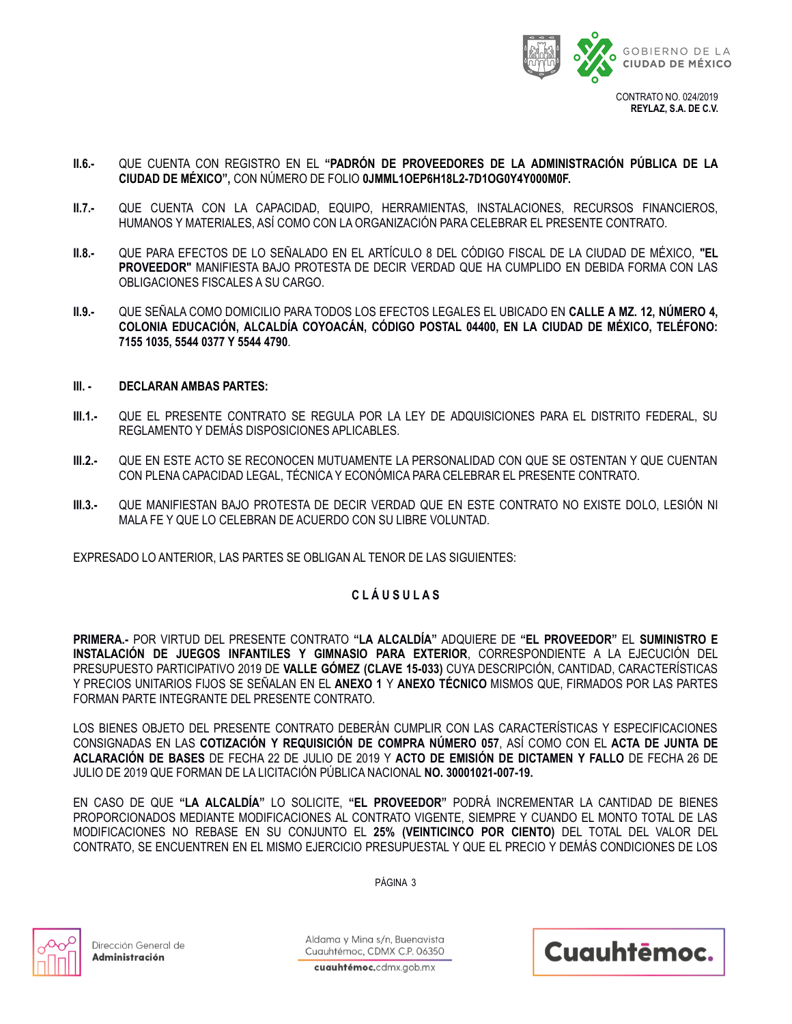

**REYLAZ, S.A. DE C.V.**

- **II.6.-** QUE CUENTA CON REGISTRO EN EL **"PADRÓN DE PROVEEDORES DE LA ADMINISTRACIÓN PÚBLICA DE LA CIUDAD DE MÉXICO",** CON NÚMERO DE FOLIO **0JMML1OEP6H18L2-7D1OG0Y4Y000M0F.**
- **II.7.-** QUE CUENTA CON LA CAPACIDAD, EQUIPO, HERRAMIENTAS, INSTALACIONES, RECURSOS FINANCIEROS, HUMANOS Y MATERIALES, ASÍ COMO CON LA ORGANIZACIÓN PARA CELEBRAR EL PRESENTE CONTRATO.
- **II.8.-** QUE PARA EFECTOS DE LO SEÑALADO EN EL ARTÍCULO 8 DEL CÓDIGO FISCAL DE LA CIUDAD DE MÉXICO, **"EL PROVEEDOR"** MANIFIESTA BAJO PROTESTA DE DECIR VERDAD QUE HA CUMPLIDO EN DEBIDA FORMA CON LAS OBLIGACIONES FISCALES A SU CARGO.
- **II.9.-** QUE SEÑALA COMO DOMICILIO PARA TODOS LOS EFECTOS LEGALES EL UBICADO EN **CALLE A MZ. 12, NÚMERO 4, COLONIA EDUCACIÓN, ALCALDÍA COYOACÁN, CÓDIGO POSTAL 04400, EN LA CIUDAD DE MÉXICO, TELÉFONO: 7155 1035, 5544 0377 Y 5544 4790**.

### **III. - DECLARAN AMBAS PARTES:**

- **III.1.-** QUE EL PRESENTE CONTRATO SE REGULA POR LA LEY DE ADQUISICIONES PARA EL DISTRITO FEDERAL, SU REGLAMENTO Y DEMÁS DISPOSICIONES APLICABLES.
- **III.2.-** QUE EN ESTE ACTO SE RECONOCEN MUTUAMENTE LA PERSONALIDAD CON QUE SE OSTENTAN Y QUE CUENTAN CON PLENA CAPACIDAD LEGAL, TÉCNICA Y ECONÓMICA PARA CELEBRAR EL PRESENTE CONTRATO.
- **III.3.-** QUE MANIFIESTAN BAJO PROTESTA DE DECIR VERDAD QUE EN ESTE CONTRATO NO EXISTE DOLO, LESIÓN NI MALA FE Y QUE LO CELEBRAN DE ACUERDO CON SU LIBRE VOLUNTAD.

EXPRESADO LO ANTERIOR, LAS PARTES SE OBLIGAN AL TENOR DE LAS SIGUIENTES:

## **C L Á U S U L A S**

**PRIMERA.-** POR VIRTUD DEL PRESENTE CONTRATO **"LA ALCALDÍA"** ADQUIERE DE **"EL PROVEEDOR"** EL **SUMINISTRO E INSTALACIÓN DE JUEGOS INFANTILES Y GIMNASIO PARA EXTERIOR**, CORRESPONDIENTE A LA EJECUCIÓN DEL PRESUPUESTO PARTICIPATIVO 2019 DE **VALLE GÓMEZ (CLAVE 15-033)** CUYA DESCRIPCIÓN, CANTIDAD, CARACTERÍSTICAS Y PRECIOS UNITARIOS FIJOS SE SEÑALAN EN EL **ANEXO 1** Y **ANEXO TÉCNICO** MISMOS QUE, FIRMADOS POR LAS PARTES FORMAN PARTE INTEGRANTE DEL PRESENTE CONTRATO.

LOS BIENES OBJETO DEL PRESENTE CONTRATO DEBERÁN CUMPLIR CON LAS CARACTERÍSTICAS Y ESPECIFICACIONES CONSIGNADAS EN LAS **COTIZACIÓN Y REQUISICIÓN DE COMPRA NÚMERO 057**, ASÍ COMO CON EL **ACTA DE JUNTA DE ACLARACIÓN DE BASES** DE FECHA 22 DE JULIO DE 2019 Y **ACTO DE EMISIÓN DE DICTAMEN Y FALLO** DE FECHA 26 DE JULIO DE 2019 QUE FORMAN DE LA LICITACIÓN PÚBLICA NACIONAL **NO. 30001021-007-19.**

EN CASO DE QUE **"LA ALCALDÍA"** LO SOLICITE, **"EL PROVEEDOR"** PODRÁ INCREMENTAR LA CANTIDAD DE BIENES PROPORCIONADOS MEDIANTE MODIFICACIONES AL CONTRATO VIGENTE, SIEMPRE Y CUANDO EL MONTO TOTAL DE LAS MODIFICACIONES NO REBASE EN SU CONJUNTO EL **25% (VEINTICINCO POR CIENTO)** DEL TOTAL DEL VALOR DEL CONTRATO, SE ENCUENTREN EN EL MISMO EJERCICIO PRESUPUESTAL Y QUE EL PRECIO Y DEMÁS CONDICIONES DE LOS

PÁGINA 3

Dirección General de Administración

Aldama y Mina s/n. Buenavista Cuauhtémoc, CDMX C.P. 06350

Cuauhtēmoc.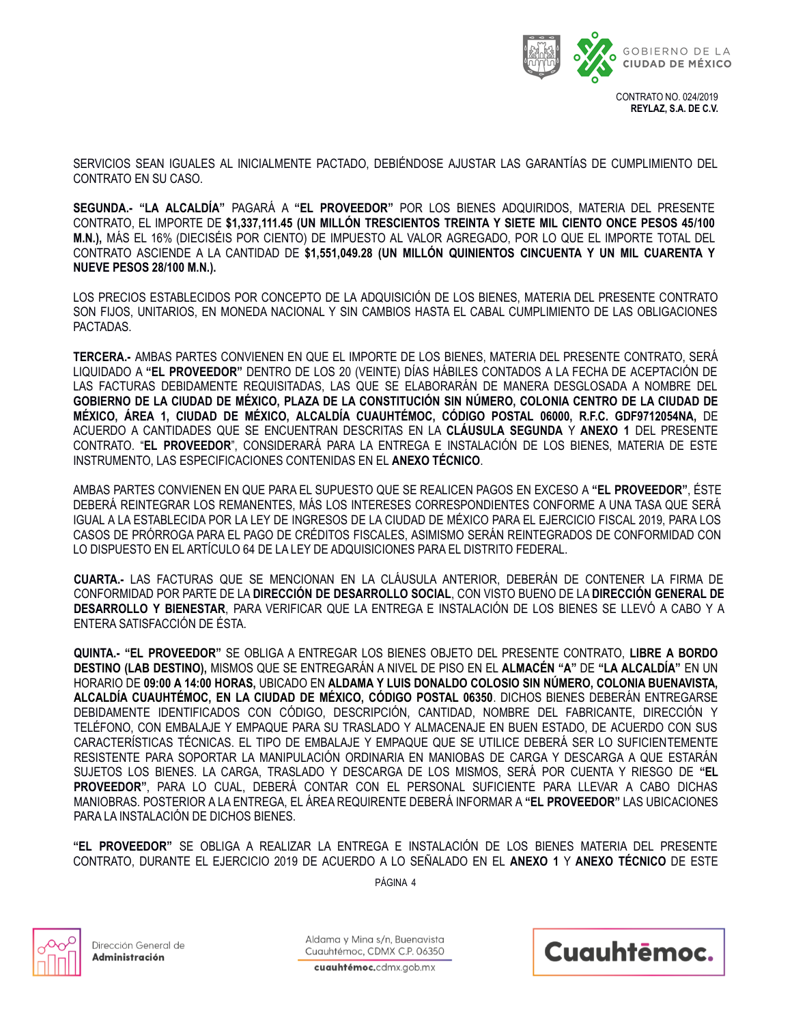

**REYLAZ, S.A. DE C.V.**

SERVICIOS SEAN IGUALES AL INICIALMENTE PACTADO, DEBIÉNDOSE AJUSTAR LAS GARANTÍAS DE CUMPLIMIENTO DEL CONTRATO EN SU CASO.

**SEGUNDA.- "LA ALCALDÍA"** PAGARÁ A **"EL PROVEEDOR"** POR LOS BIENES ADQUIRIDOS, MATERIA DEL PRESENTE CONTRATO, EL IMPORTE DE **\$1,337,111.45 (UN MILLÓN TRESCIENTOS TREINTA Y SIETE MIL CIENTO ONCE PESOS 45/100 M.N.),** MÁS EL 16% (DIECISÉIS POR CIENTO) DE IMPUESTO AL VALOR AGREGADO, POR LO QUE EL IMPORTE TOTAL DEL CONTRATO ASCIENDE A LA CANTIDAD DE **\$1,551,049.28 (UN MILLÓN QUINIENTOS CINCUENTA Y UN MIL CUARENTA Y NUEVE PESOS 28/100 M.N.).**

LOS PRECIOS ESTABLECIDOS POR CONCEPTO DE LA ADQUISICIÓN DE LOS BIENES, MATERIA DEL PRESENTE CONTRATO SON FIJOS, UNITARIOS, EN MONEDA NACIONAL Y SIN CAMBIOS HASTA EL CABAL CUMPLIMIENTO DE LAS OBLIGACIONES PACTADAS.

**TERCERA.-** AMBAS PARTES CONVIENEN EN QUE EL IMPORTE DE LOS BIENES, MATERIA DEL PRESENTE CONTRATO, SERÁ LIQUIDADO A **"EL PROVEEDOR"** DENTRO DE LOS 20 (VEINTE) DÍAS HÁBILES CONTADOS A LA FECHA DE ACEPTACIÓN DE LAS FACTURAS DEBIDAMENTE REQUISITADAS, LAS QUE SE ELABORARÁN DE MANERA DESGLOSADA A NOMBRE DEL **GOBIERNO DE LA CIUDAD DE MÉXICO, PLAZA DE LA CONSTITUCIÓN SIN NÚMERO, COLONIA CENTRO DE LA CIUDAD DE MÉXICO, ÁREA 1, CIUDAD DE MÉXICO, ALCALDÍA CUAUHTÉMOC, CÓDIGO POSTAL 06000, R.F.C. GDF9712054NA,** DE ACUERDO A CANTIDADES QUE SE ENCUENTRAN DESCRITAS EN LA **CLÁUSULA SEGUNDA** Y **ANEXO 1** DEL PRESENTE CONTRATO. "**EL PROVEEDOR**", CONSIDERARÁ PARA LA ENTREGA E INSTALACIÓN DE LOS BIENES, MATERIA DE ESTE INSTRUMENTO, LAS ESPECIFICACIONES CONTENIDAS EN EL **ANEXO TÉCNICO**.

AMBAS PARTES CONVIENEN EN QUE PARA EL SUPUESTO QUE SE REALICEN PAGOS EN EXCESO A **"EL PROVEEDOR"**, ÉSTE DEBERÁ REINTEGRAR LOS REMANENTES, MÁS LOS INTERESES CORRESPONDIENTES CONFORME A UNA TASA QUE SERÁ IGUAL A LA ESTABLECIDA POR LA LEY DE INGRESOS DE LA CIUDAD DE MÉXICO PARA EL EJERCICIO FISCAL 2019, PARA LOS CASOS DE PRÓRROGA PARA EL PAGO DE CRÉDITOS FISCALES, ASIMISMO SERÁN REINTEGRADOS DE CONFORMIDAD CON LO DISPUESTO EN EL ARTÍCULO 64 DE LA LEY DE ADQUISICIONES PARA EL DISTRITO FEDERAL.

**CUARTA.-** LAS FACTURAS QUE SE MENCIONAN EN LA CLÁUSULA ANTERIOR, DEBERÁN DE CONTENER LA FIRMA DE CONFORMIDAD POR PARTE DE LA **DIRECCIÓN DE DESARROLLO SOCIAL**, CON VISTO BUENO DE LA **DIRECCIÓN GENERAL DE DESARROLLO Y BIENESTAR**, PARA VERIFICAR QUE LA ENTREGA E INSTALACIÓN DE LOS BIENES SE LLEVÓ A CABO Y A ENTERA SATISFACCIÓN DE ÉSTA.

**QUINTA.- "EL PROVEEDOR"** SE OBLIGA A ENTREGAR LOS BIENES OBJETO DEL PRESENTE CONTRATO, **LIBRE A BORDO DESTINO (LAB DESTINO),** MISMOS QUE SE ENTREGARÁN A NIVEL DE PISO EN EL **ALMACÉN "A"** DE **"LA ALCALDÍA"** EN UN HORARIO DE **09:00 A 14:00 HORAS,** UBICADO EN **ALDAMA Y LUIS DONALDO COLOSIO SIN NÚMERO, COLONIA BUENAVISTA, ALCALDÍA CUAUHTÉMOC, EN LA CIUDAD DE MÉXICO, CÓDIGO POSTAL 06350**. DICHOS BIENES DEBERÁN ENTREGARSE DEBIDAMENTE IDENTIFICADOS CON CÓDIGO, DESCRIPCIÓN, CANTIDAD, NOMBRE DEL FABRICANTE, DIRECCIÓN Y TELÉFONO, CON EMBALAJE Y EMPAQUE PARA SU TRASLADO Y ALMACENAJE EN BUEN ESTADO, DE ACUERDO CON SUS CARACTERÍSTICAS TÉCNICAS. EL TIPO DE EMBALAJE Y EMPAQUE QUE SE UTILICE DEBERÁ SER LO SUFICIENTEMENTE RESISTENTE PARA SOPORTAR LA MANIPULACIÓN ORDINARIA EN MANIOBAS DE CARGA Y DESCARGA A QUE ESTARÁN SUJETOS LOS BIENES. LA CARGA, TRASLADO Y DESCARGA DE LOS MISMOS, SERÁ POR CUENTA Y RIESGO DE **"EL PROVEEDOR"**, PARA LO CUAL, DEBERÁ CONTAR CON EL PERSONAL SUFICIENTE PARA LLEVAR A CABO DICHAS MANIOBRAS. POSTERIOR A LA ENTREGA, EL ÁREA REQUIRENTE DEBERÁ INFORMAR A **"EL PROVEEDOR"** LAS UBICACIONES PARA LA INSTALACIÓN DE DICHOS BIENES.

**"EL PROVEEDOR"** SE OBLIGA A REALIZAR LA ENTREGA E INSTALACIÓN DE LOS BIENES MATERIA DEL PRESENTE CONTRATO, DURANTE EL EJERCICIO 2019 DE ACUERDO A LO SEÑALADO EN EL **ANEXO 1** Y **ANEXO TÉCNICO** DE ESTE

PÁGINA 4



Dirección General de Administración

Aldama y Mina s/n. Buenavista Cuauhtémoc, CDMX C.P. 06350

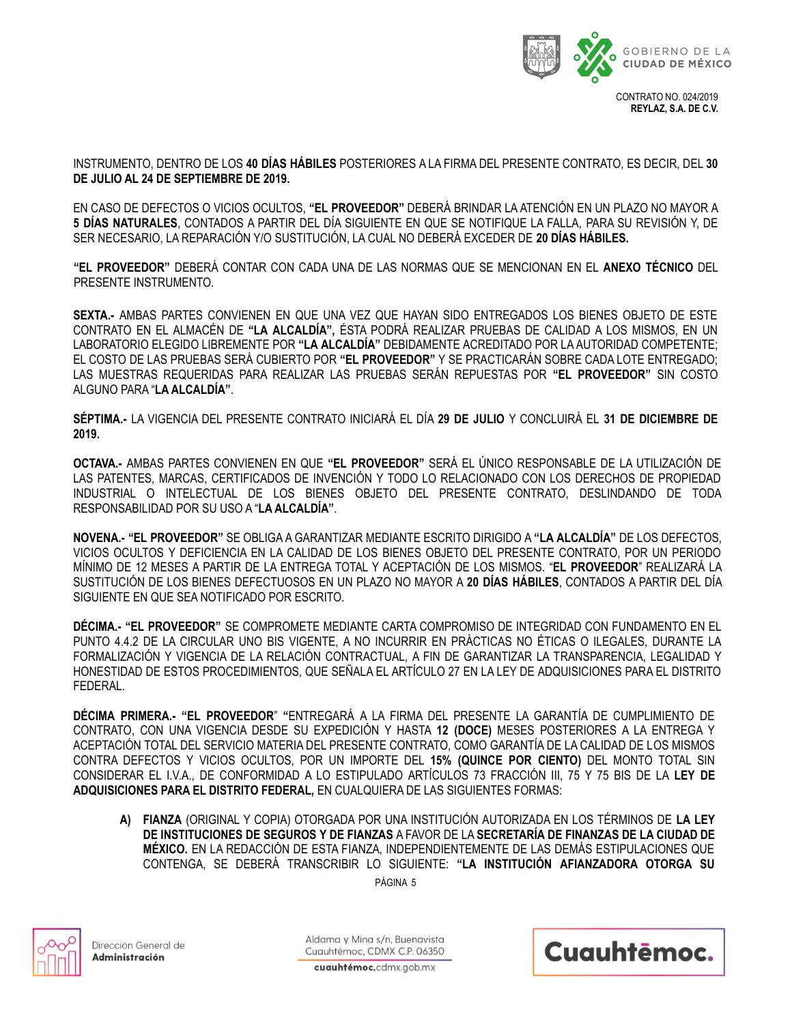

INSTRUMENTO, DENTRO DE LOS **40 DÍAS HÁBILES** POSTERIORES A LA FIRMA DEL PRESENTE CONTRATO, ES DECIR, DEL **30 DE JULIO AL 24 DE SEPTIEMBRE DE 2019.**

EN CASO DE DEFECTOS O VICIOS OCULTOS, **"EL PROVEEDOR"** DEBERÁ BRINDAR LA ATENCIÓN EN UN PLAZO NO MAYOR A **5 DÍAS NATURALES**, CONTADOS A PARTIR DEL DÍA SIGUIENTE EN QUE SE NOTIFIQUE LA FALLA, PARA SU REVISIÓN Y, DE SER NECESARIO, LA REPARACIÓN Y/O SUSTITUCIÓN, LA CUAL NO DEBERÁ EXCEDER DE **20 DÍAS HÁBILES.**

**"EL PROVEEDOR"** DEBERÁ CONTAR CON CADA UNA DE LAS NORMAS QUE SE MENCIONAN EN EL **ANEXO TÉCNICO** DEL PRESENTE INSTRUMENTO.

**SEXTA.-** AMBAS PARTES CONVIENEN EN QUE UNA VEZ QUE HAYAN SIDO ENTREGADOS LOS BIENES OBJETO DE ESTE CONTRATO EN EL ALMACÉN DE **"LA ALCALDÍA",** ÉSTA PODRÁ REALIZAR PRUEBAS DE CALIDAD A LOS MISMOS, EN UN LABORATORIO ELEGIDO LIBREMENTE POR **"LA ALCALDÍA"** DEBIDAMENTE ACREDITADO POR LA AUTORIDAD COMPETENTE; EL COSTO DE LAS PRUEBAS SERÁ CUBIERTO POR **"EL PROVEEDOR"** Y SE PRACTICARÁN SOBRE CADA LOTE ENTREGADO; LAS MUESTRAS REQUERIDAS PARA REALIZAR LAS PRUEBAS SERÁN REPUESTAS POR **"EL PROVEEDOR"** SIN COSTO ALGUNO PARA "**LA ALCALDÍA"**.

**SÉPTIMA.-** LA VIGENCIA DEL PRESENTE CONTRATO INICIARÁ EL DÍA **29 DE JULIO** Y CONCLUIRÁ EL **31 DE DICIEMBRE DE 2019.**

**OCTAVA.-** AMBAS PARTES CONVIENEN EN QUE **"EL PROVEEDOR"** SERÁ EL ÚNICO RESPONSABLE DE LA UTILIZACIÓN DE LAS PATENTES, MARCAS, CERTIFICADOS DE INVENCIÓN Y TODO LO RELACIONADO CON LOS DERECHOS DE PROPIEDAD INDUSTRIAL O INTELECTUAL DE LOS BIENES OBJETO DEL PRESENTE CONTRATO, DESLINDANDO DE TODA RESPONSABILIDAD POR SU USO A "**LA ALCALDÍA"**.

**NOVENA.- "EL PROVEEDOR"** SE OBLIGA A GARANTIZAR MEDIANTE ESCRITO DIRIGIDO A **"LA ALCALDÍA"** DE LOS DEFECTOS, VICIOS OCULTOS Y DEFICIENCIA EN LA CALIDAD DE LOS BIENES OBJETO DEL PRESENTE CONTRATO, POR UN PERIODO MÍNIMO DE 12 MESES A PARTIR DE LA ENTREGA TOTAL Y ACEPTACIÓN DE LOS MISMOS. "**EL PROVEEDOR**" REALIZARÁ LA SUSTITUCIÓN DE LOS BIENES DEFECTUOSOS EN UN PLAZO NO MAYOR A **20 DÍAS HÁBILES**, CONTADOS A PARTIR DEL DÍA SIGUIENTE EN QUE SEA NOTIFICADO POR ESCRITO.

**DÉCIMA.- "EL PROVEEDOR"** SE COMPROMETE MEDIANTE CARTA COMPROMISO DE INTEGRIDAD CON FUNDAMENTO EN EL PUNTO 4.4.2 DE LA CIRCULAR UNO BIS VIGENTE, A NO INCURRIR EN PRÁCTICAS NO ÉTICAS O ILEGALES, DURANTE LA FORMALIZACIÓN Y VIGENCIA DE LA RELACIÓN CONTRACTUAL, A FIN DE GARANTIZAR LA TRANSPARENCIA, LEGALIDAD Y HONESTIDAD DE ESTOS PROCEDIMIENTOS, QUE SEÑALA EL ARTÍCULO 27 EN LA LEY DE ADQUISICIONES PARA EL DISTRITO FEDERAL.

**DÉCIMA PRIMERA.- "EL PROVEEDOR**" **"**ENTREGARÁ A LA FIRMA DEL PRESENTE LA GARANTÍA DE CUMPLIMIENTO DE CONTRATO, CON UNA VIGENCIA DESDE SU EXPEDICIÓN Y HASTA **12 (DOCE)** MESES POSTERIORES A LA ENTREGA Y ACEPTACIÓN TOTAL DEL SERVICIO MATERIA DEL PRESENTE CONTRATO, COMO GARANTÍA DE LA CALIDAD DE LOS MISMOS CONTRA DEFECTOS Y VICIOS OCULTOS, POR UN IMPORTE DEL **15% (QUINCE POR CIENTO)** DEL MONTO TOTAL SIN CONSIDERAR EL I.V.A., DE CONFORMIDAD A LO ESTIPULADO ARTÍCULOS 73 FRACCIÓN III, 75 Y 75 BIS DE LA **LEY DE ADQUISICIONES PARA EL DISTRITO FEDERAL,** EN CUALQUIERA DE LAS SIGUIENTES FORMAS:

**A) FIANZA** (ORIGINAL Y COPIA) OTORGADA POR UNA INSTITUCIÓN AUTORIZADA EN LOS TÉRMINOS DE **LA LEY DE INSTITUCIONES DE SEGUROS Y DE FIANZAS** A FAVOR DE LA **SECRETARÍA DE FINANZAS DE LA CIUDAD DE MÉXICO.** EN LA REDACCIÓN DE ESTA FIANZA, INDEPENDIENTEMENTE DE LAS DEMÁS ESTIPULACIONES QUE CONTENGA, SE DEBERÁ TRANSCRIBIR LO SIGUIENTE: **"LA INSTITUCIÓN AFIANZADORA OTORGA SU** 

PÁGINA 5



Dirección General de Administración

Aldama y Mina s/n. Buenavista Cuauhtémoc, CDMX C.P. 06350

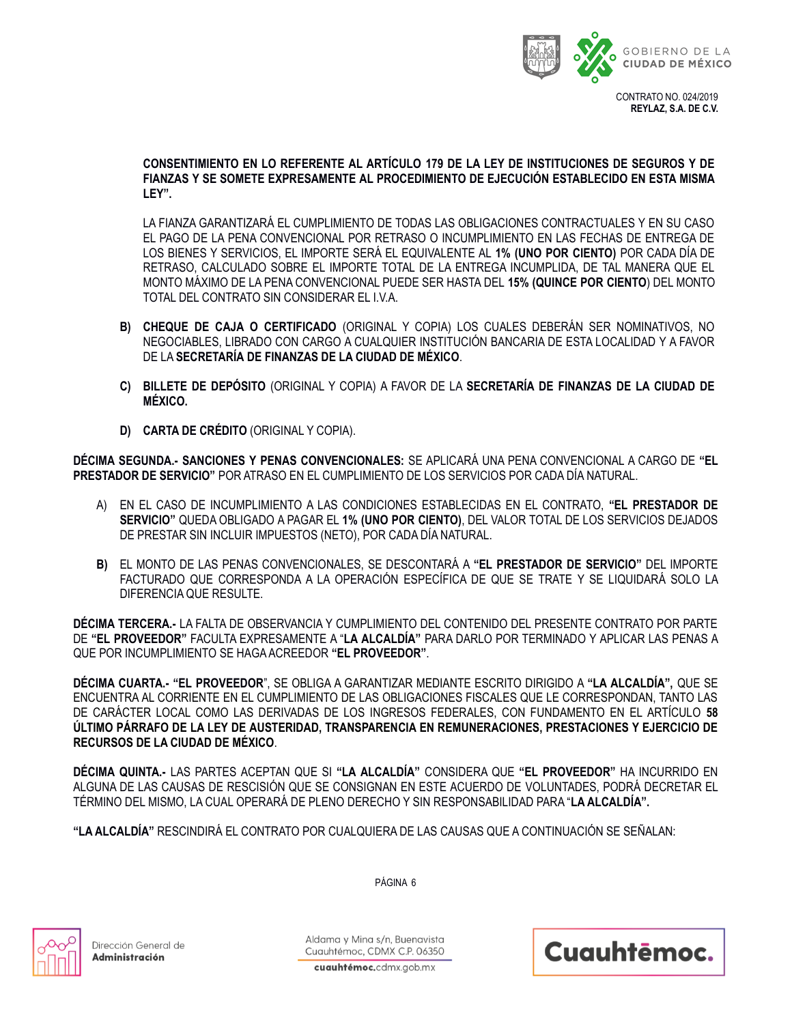

**CONSENTIMIENTO EN LO REFERENTE AL ARTÍCULO 179 DE LA LEY DE INSTITUCIONES DE SEGUROS Y DE FIANZAS Y SE SOMETE EXPRESAMENTE AL PROCEDIMIENTO DE EJECUCIÓN ESTABLECIDO EN ESTA MISMA LEY".**

LA FIANZA GARANTIZARÁ EL CUMPLIMIENTO DE TODAS LAS OBLIGACIONES CONTRACTUALES Y EN SU CASO EL PAGO DE LA PENA CONVENCIONAL POR RETRASO O INCUMPLIMIENTO EN LAS FECHAS DE ENTREGA DE LOS BIENES Y SERVICIOS, EL IMPORTE SERÁ EL EQUIVALENTE AL **1% (UNO POR CIENTO)** POR CADA DÍA DE RETRASO, CALCULADO SOBRE EL IMPORTE TOTAL DE LA ENTREGA INCUMPLIDA, DE TAL MANERA QUE EL MONTO MÁXIMO DE LA PENA CONVENCIONAL PUEDE SER HASTA DEL **15% (QUINCE POR CIENTO**) DEL MONTO TOTAL DEL CONTRATO SIN CONSIDERAR EL I.V.A.

- **B) CHEQUE DE CAJA O CERTIFICADO** (ORIGINAL Y COPIA) LOS CUALES DEBERÁN SER NOMINATIVOS, NO NEGOCIABLES, LIBRADO CON CARGO A CUALQUIER INSTITUCIÓN BANCARIA DE ESTA LOCALIDAD Y A FAVOR DE LA **SECRETARÍA DE FINANZAS DE LA CIUDAD DE MÉXICO**.
- **C) BILLETE DE DEPÓSITO** (ORIGINAL Y COPIA) A FAVOR DE LA **SECRETARÍA DE FINANZAS DE LA CIUDAD DE MÉXICO.**
- **D) CARTA DE CRÉDITO** (ORIGINAL Y COPIA).

**DÉCIMA SEGUNDA.- SANCIONES Y PENAS CONVENCIONALES:** SE APLICARÁ UNA PENA CONVENCIONAL A CARGO DE **"EL PRESTADOR DE SERVICIO"** POR ATRASO EN EL CUMPLIMIENTO DE LOS SERVICIOS POR CADA DÍA NATURAL.

- A) EN EL CASO DE INCUMPLIMIENTO A LAS CONDICIONES ESTABLECIDAS EN EL CONTRATO, **"EL PRESTADOR DE SERVICIO"** QUEDA OBLIGADO A PAGAR EL **1% (UNO POR CIENTO)**, DEL VALOR TOTAL DE LOS SERVICIOS DEJADOS DE PRESTAR SIN INCLUIR IMPUESTOS (NETO), POR CADA DÍA NATURAL.
- **B)** EL MONTO DE LAS PENAS CONVENCIONALES, SE DESCONTARÁ A **"EL PRESTADOR DE SERVICIO"** DEL IMPORTE FACTURADO QUE CORRESPONDA A LA OPERACIÓN ESPECÍFICA DE QUE SE TRATE Y SE LIQUIDARÁ SOLO LA DIFERENCIA QUE RESULTE.

**DÉCIMA TERCERA.-** LA FALTA DE OBSERVANCIA Y CUMPLIMIENTO DEL CONTENIDO DEL PRESENTE CONTRATO POR PARTE DE **"EL PROVEEDOR"** FACULTA EXPRESAMENTE A "**LA ALCALDÍA"** PARA DARLO POR TERMINADO Y APLICAR LAS PENAS A QUE POR INCUMPLIMIENTO SE HAGA ACREEDOR **"EL PROVEEDOR"**.

**DÉCIMA CUARTA.- "EL PROVEEDOR**", SE OBLIGA A GARANTIZAR MEDIANTE ESCRITO DIRIGIDO A **"LA ALCALDÍA",** QUE SE ENCUENTRA AL CORRIENTE EN EL CUMPLIMIENTO DE LAS OBLIGACIONES FISCALES QUE LE CORRESPONDAN, TANTO LAS DE CARÁCTER LOCAL COMO LAS DERIVADAS DE LOS INGRESOS FEDERALES, CON FUNDAMENTO EN EL ARTÍCULO **58 ÚLTIMO PÁRRAFO DE LA LEY DE AUSTERIDAD, TRANSPARENCIA EN REMUNERACIONES, PRESTACIONES Y EJERCICIO DE RECURSOS DE LA CIUDAD DE MÉXICO**.

**DÉCIMA QUINTA.-** LAS PARTES ACEPTAN QUE SI **"LA ALCALDÍA"** CONSIDERA QUE **"EL PROVEEDOR"** HA INCURRIDO EN ALGUNA DE LAS CAUSAS DE RESCISIÓN QUE SE CONSIGNAN EN ESTE ACUERDO DE VOLUNTADES, PODRÁ DECRETAR EL TÉRMINO DEL MISMO, LA CUAL OPERARÁ DE PLENO DERECHO Y SIN RESPONSABILIDAD PARA "**LA ALCALDÍA".**

PÁGINA 6

**"LA ALCALDÍA"** RESCINDIRÁ EL CONTRATO POR CUALQUIERA DE LAS CAUSAS QUE A CONTINUACIÓN SE SEÑALAN:



Dirección General de Administración

Aldama y Mina s/n. Buenavista Cuauhtémoc, CDMX C.P. 06350

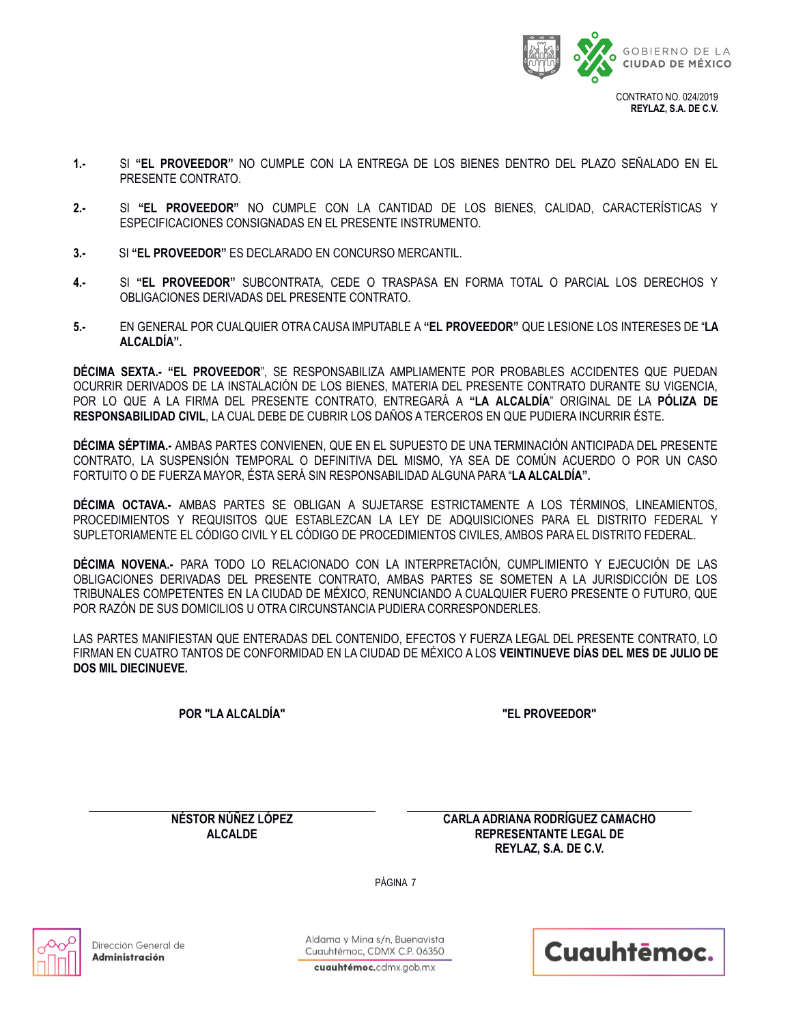

- **1.-** SI **"EL PROVEEDOR"** NO CUMPLE CON LA ENTREGA DE LOS BIENES DENTRO DEL PLAZO SEÑALADO EN EL PRESENTE CONTRATO.
- **2.-** SI **"EL PROVEEDOR"** NO CUMPLE CON LA CANTIDAD DE LOS BIENES, CALIDAD, CARACTERÍSTICAS Y ESPECIFICACIONES CONSIGNADAS EN EL PRESENTE INSTRUMENTO.
- **3.-** SI **"EL PROVEEDOR"** ES DECLARADO EN CONCURSO MERCANTIL.
- **4.-** SI **"EL PROVEEDOR"** SUBCONTRATA, CEDE O TRASPASA EN FORMA TOTAL O PARCIAL LOS DERECHOS Y OBLIGACIONES DERIVADAS DEL PRESENTE CONTRATO.
- **5.-** EN GENERAL POR CUALQUIER OTRA CAUSA IMPUTABLE A **"EL PROVEEDOR"** QUE LESIONE LOS INTERESES DE "**LA ALCALDÍA".**

**DÉCIMA SEXTA.- "EL PROVEEDOR**", SE RESPONSABILIZA AMPLIAMENTE POR PROBABLES ACCIDENTES QUE PUEDAN OCURRIR DERIVADOS DE LA INSTALACIÓN DE LOS BIENES, MATERIA DEL PRESENTE CONTRATO DURANTE SU VIGENCIA, POR LO QUE A LA FIRMA DEL PRESENTE CONTRATO, ENTREGARÁ A **"LA ALCALDÍA**" ORIGINAL DE LA **PÓLIZA DE RESPONSABILIDAD CIVIL**, LA CUAL DEBE DE CUBRIR LOS DAÑOS A TERCEROS EN QUE PUDIERA INCURRIR ÉSTE.

**DÉCIMA SÉPTIMA.-** AMBAS PARTES CONVIENEN, QUE EN EL SUPUESTO DE UNA TERMINACIÓN ANTICIPADA DEL PRESENTE CONTRATO, LA SUSPENSIÓN TEMPORAL O DEFINITIVA DEL MISMO, YA SEA DE COMÚN ACUERDO O POR UN CASO FORTUITO O DE FUERZA MAYOR, ÉSTA SERÁ SIN RESPONSABILIDAD ALGUNA PARA "**LA ALCALDÍA".**

**DÉCIMA OCTAVA.-** AMBAS PARTES SE OBLIGAN A SUJETARSE ESTRICTAMENTE A LOS TÉRMINOS, LINEAMIENTOS, PROCEDIMIENTOS Y REQUISITOS QUE ESTABLEZCAN LA LEY DE ADQUISICIONES PARA EL DISTRITO FEDERAL Y SUPLETORIAMENTE EL CÓDIGO CIVIL Y EL CÓDIGO DE PROCEDIMIENTOS CIVILES, AMBOS PARA EL DISTRITO FEDERAL.

**DÉCIMA NOVENA.-** PARA TODO LO RELACIONADO CON LA INTERPRETACIÓN, CUMPLIMIENTO Y EJECUCIÓN DE LAS OBLIGACIONES DERIVADAS DEL PRESENTE CONTRATO, AMBAS PARTES SE SOMETEN A LA JURISDICCIÓN DE LOS TRIBUNALES COMPETENTES EN LA CIUDAD DE MÉXICO, RENUNCIANDO A CUALQUIER FUERO PRESENTE O FUTURO, QUE POR RAZÓN DE SUS DOMICILIOS U OTRA CIRCUNSTANCIA PUDIERA CORRESPONDERLES.

LAS PARTES MANIFIESTAN QUE ENTERADAS DEL CONTENIDO, EFECTOS Y FUERZA LEGAL DEL PRESENTE CONTRATO, LO FIRMAN EN CUATRO TANTOS DE CONFORMIDAD EN LA CIUDAD DE MÉXICO A LOS **VEINTINUEVE DÍAS DEL MES DE JULIO DE DOS MIL DIECINUEVE.**

**POR "LA ALCALDÍA" "EL PROVEEDOR"**

**NÉSTOR NÚÑEZ LÓPEZ ALCALDE**

**CARLA ADRIANA RODRÍGUEZ CAMACHO REPRESENTANTE LEGAL DE REYLAZ, S.A. DE C.V.**

PÁGINA 7



Dirección General de Administración

Aldama y Mina s/n. Buenavista Cuauhtémoc, CDMX C.P. 06350 Cuauhtēmoc.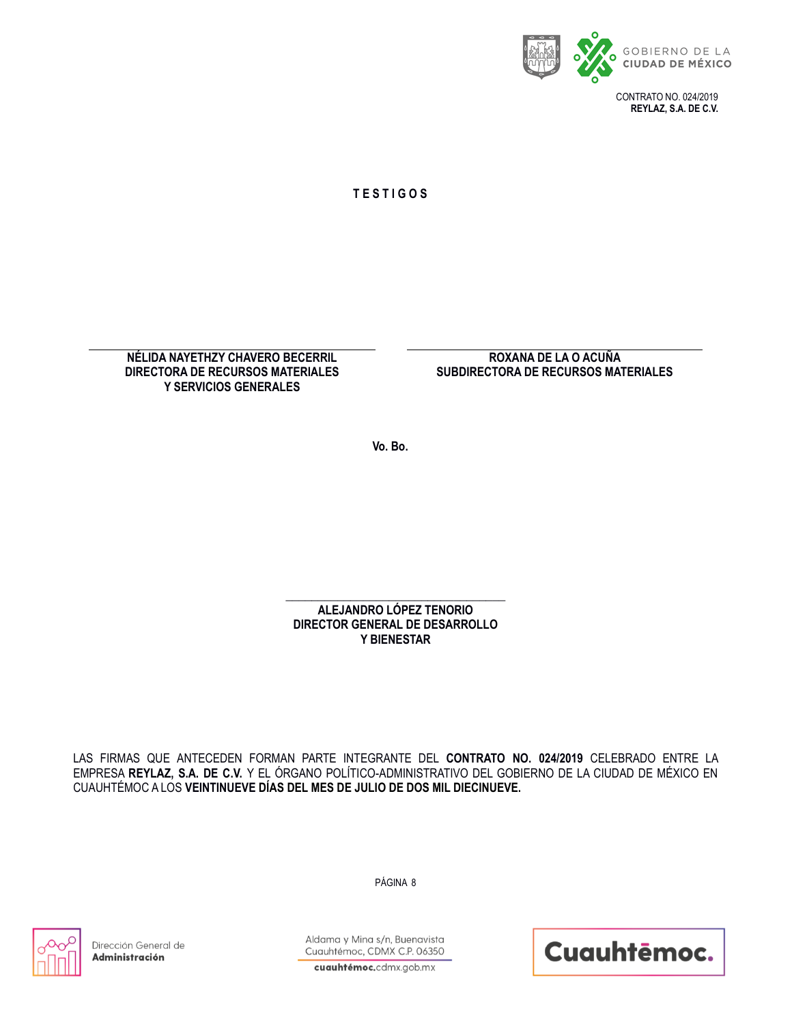

**T E S T I G O S**

**NÉLIDA NAYETHZY CHAVERO BECERRIL DIRECTORA DE RECURSOS MATERIALES Y SERVICIOS GENERALES** 

**ROXANA DE LA O ACUÑA SUBDIRECTORA DE RECURSOS MATERIALES**

**Vo. Bo.**

\_\_\_\_\_\_\_\_\_\_\_\_\_\_\_\_\_\_\_\_\_\_\_\_\_\_\_\_\_\_\_\_\_\_ **ALEJANDRO LÓPEZ TENORIO DIRECTOR GENERAL DE DESARROLLO Y BIENESTAR**

LAS FIRMAS QUE ANTECEDEN FORMAN PARTE INTEGRANTE DEL **CONTRATO NO. 024/2019** CELEBRADO ENTRE LA EMPRESA **REYLAZ, S.A. DE C.V.** Y EL ÓRGANO POLÍTICO-ADMINISTRATIVO DEL GOBIERNO DE LA CIUDAD DE MÉXICO EN CUAUHTÉMOC A LOS **VEINTINUEVE DÍAS DEL MES DE JULIO DE DOS MIL DIECINUEVE.**

PÁGINA 8



Dirección General de Administración

Aldama y Mina s/n, Buenavista Cuauhtémoc, CDMX C.P. 06350

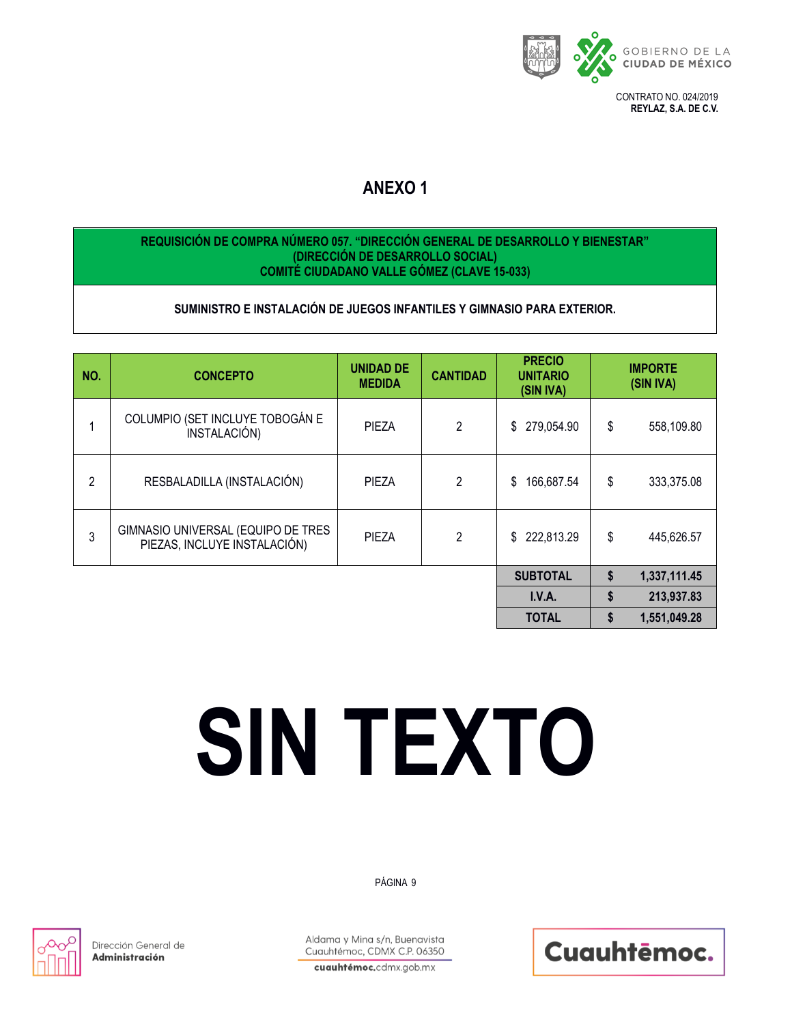

# **ANEXO 1**

## **REQUISICIÓN DE COMPRA NÚMERO 057. "DIRECCIÓN GENERAL DE DESARROLLO Y BIENESTAR" (DIRECCIÓN DE DESARROLLO SOCIAL) COMITÉ CIUDADANO VALLE GÓMEZ (CLAVE 15-033)**

## **SUMINISTRO E INSTALACIÓN DE JUEGOS INFANTILES Y GIMNASIO PARA EXTERIOR.**

| NO.            | <b>CONCEPTO</b>                                                    | <b>UNIDAD DE</b><br><b>MEDIDA</b> | <b>CANTIDAD</b> | <b>PRECIO</b><br><b>UNITARIO</b><br>(SIN IVA) | <b>IMPORTE</b><br>(SIN IVA) |
|----------------|--------------------------------------------------------------------|-----------------------------------|-----------------|-----------------------------------------------|-----------------------------|
| 1              | COLUMPIO (SET INCLUYE TOBOGÁN E<br>INSTALACIÓN)                    | <b>PIEZA</b>                      | $\overline{2}$  | 279,054.90<br>\$                              | \$<br>558,109.80            |
| $\overline{2}$ | RESBALADILLA (INSTALACIÓN)                                         | <b>PIEZA</b>                      | $\overline{2}$  | 166,687.54<br>\$                              | \$<br>333,375.08            |
| 3              | GIMNASIO UNIVERSAL (EQUIPO DE TRES<br>PIEZAS, INCLUYE INSTALACIÓN) | PIEZA                             | $\overline{2}$  | 222,813.29<br>\$                              | \$<br>445,626.57            |
|                |                                                                    |                                   |                 | <b>SUBTOTAL</b>                               | \$<br>1,337,111.45          |
|                |                                                                    |                                   |                 | I.V.A.                                        | \$<br>213,937.83            |
|                |                                                                    |                                   |                 | <b>TOTAL</b>                                  | \$<br>1,551,049.28          |

# **SIN TEXTO**

## PÁGINA 9



Dirección General de Administración

Aldama y Mina s/n, Buenavista Cuauhtémoc, CDMX C.P. 06350

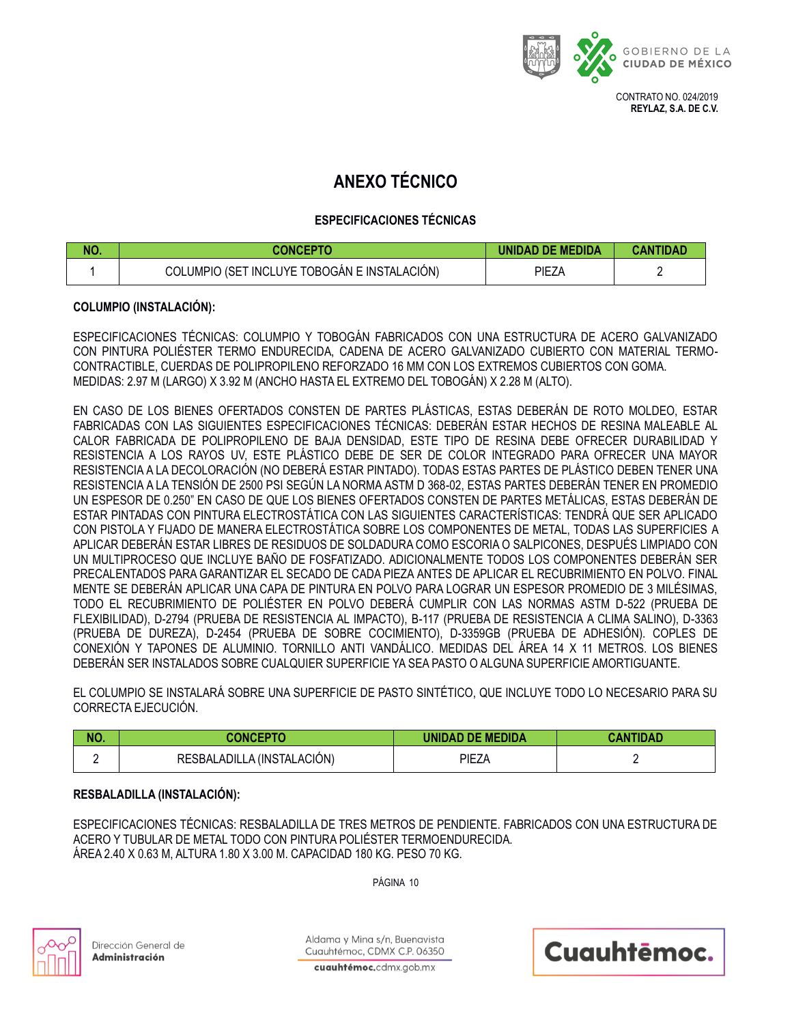

## **ANEXO TÉCNICO**

## **ESPECIFICACIONES TÉCNICAS**

| NO. | <b>CONCEPTO</b>                              | UNIDAD DE MEDIDA | <b>CANTIDAD</b> |
|-----|----------------------------------------------|------------------|-----------------|
|     | COLUMPIO (SET INCLUYE TOBOGÁN E INSTALACIÓN) | PIEZA            |                 |

## **COLUMPIO (INSTALACIÓN):**

ESPECIFICACIONES TÉCNICAS: COLUMPIO Y TOBOGÁN FABRICADOS CON UNA ESTRUCTURA DE ACERO GALVANIZADO CON PINTURA POLIÉSTER TERMO ENDURECIDA, CADENA DE ACERO GALVANIZADO CUBIERTO CON MATERIAL TERMO-CONTRACTIBLE, CUERDAS DE POLIPROPILENO REFORZADO 16 MM CON LOS EXTREMOS CUBIERTOS CON GOMA. MEDIDAS: 2.97 M (LARGO) X 3.92 M (ANCHO HASTA EL EXTREMO DEL TOBOGÁN) X 2.28 M (ALTO).

EN CASO DE LOS BIENES OFERTADOS CONSTEN DE PARTES PLÁSTICAS, ESTAS DEBERÁN DE ROTO MOLDEO, ESTAR FABRICADAS CON LAS SIGUIENTES ESPECIFICACIONES TÉCNICAS: DEBERÁN ESTAR HECHOS DE RESINA MALEABLE AL CALOR FABRICADA DE POLIPROPILENO DE BAJA DENSIDAD, ESTE TIPO DE RESINA DEBE OFRECER DURABILIDAD Y RESISTENCIA A LOS RAYOS UV, ESTE PLÁSTICO DEBE DE SER DE COLOR INTEGRADO PARA OFRECER UNA MAYOR RESISTENCIA A LA DECOLORACIÓN (NO DEBERÁ ESTAR PINTADO). TODAS ESTAS PARTES DE PLÁSTICO DEBEN TENER UNA RESISTENCIA A LA TENSIÓN DE 2500 PSI SEGÚN LA NORMA ASTM D 368-02, ESTAS PARTES DEBERÁN TENER EN PROMEDIO UN ESPESOR DE 0.250" EN CASO DE QUE LOS BIENES OFERTADOS CONSTEN DE PARTES METÁLICAS, ESTAS DEBERÁN DE ESTAR PINTADAS CON PINTURA ELECTROSTÁTICA CON LAS SIGUIENTES CARACTERÍSTICAS: TENDRÁ QUE SER APLICADO CON PISTOLA Y FIJADO DE MANERA ELECTROSTÁTICA SOBRE LOS COMPONENTES DE METAL, TODAS LAS SUPERFICIES A APLICAR DEBERÁN ESTAR LIBRES DE RESIDUOS DE SOLDADURA COMO ESCORIA O SALPICONES, DESPUÉS LIMPIADO CON UN MULTIPROCESO QUE INCLUYE BAÑO DE FOSFATIZADO. ADICIONALMENTE TODOS LOS COMPONENTES DEBERÁN SER PRECALENTADOS PARA GARANTIZAR EL SECADO DE CADA PIEZA ANTES DE APLICAR EL RECUBRIMIENTO EN POLVO. FINAL MENTE SE DEBERÁN APLICAR UNA CAPA DE PINTURA EN POLVO PARA LOGRAR UN ESPESOR PROMEDIO DE 3 MILÉSIMAS, TODO EL RECUBRIMIENTO DE POLIÉSTER EN POLVO DEBERÁ CUMPLIR CON LAS NORMAS ASTM D-522 (PRUEBA DE FLEXIBILIDAD), D-2794 (PRUEBA DE RESISTENCIA AL IMPACTO), B-117 (PRUEBA DE RESISTENCIA A CLIMA SALINO), D-3363 (PRUEBA DE DUREZA), D-2454 (PRUEBA DE SOBRE COCIMIENTO), D-3359GB (PRUEBA DE ADHESIÓN). COPLES DE CONEXIÓN Y TAPONES DE ALUMINIO. TORNILLO ANTI VANDÁLICO. MEDIDAS DEL ÁREA 14 X 11 METROS. LOS BIENES DEBERÁN SER INSTALADOS SOBRE CUALQUIER SUPERFICIE YA SEA PASTO O ALGUNA SUPERFICIE AMORTIGUANTE.

EL COLUMPIO SE INSTALARÁ SOBRE UNA SUPERFICIE DE PASTO SINTÉTICO, QUE INCLUYE TODO LO NECESARIO PARA SU CORRECTA EJECUCIÓN.

| NO. | <b>CONCEPTO</b>            | <b>UNIDAD DE MEDIDA</b> | CANTIDAD |
|-----|----------------------------|-------------------------|----------|
|     | RESBALADILLA (INSTALACIÓN) | PIEZA                   |          |

## **RESBALADILLA (INSTALACIÓN):**

ESPECIFICACIONES TÉCNICAS: RESBALADILLA DE TRES METROS DE PENDIENTE. FABRICADOS CON UNA ESTRUCTURA DE ACERO Y TUBULAR DE METAL TODO CON PINTURA POLIÉSTER TERMOENDURECIDA. ÁREA 2.40 X 0.63 M, ALTURA 1.80 X 3.00 M. CAPACIDAD 180 KG. PESO 70 KG.

PÁGINA 10



Dirección General de Administración

Aldama y Mina s/n. Buenavista Cuauhtémoc, CDMX C.P. 06350 Cuauhtēmoc.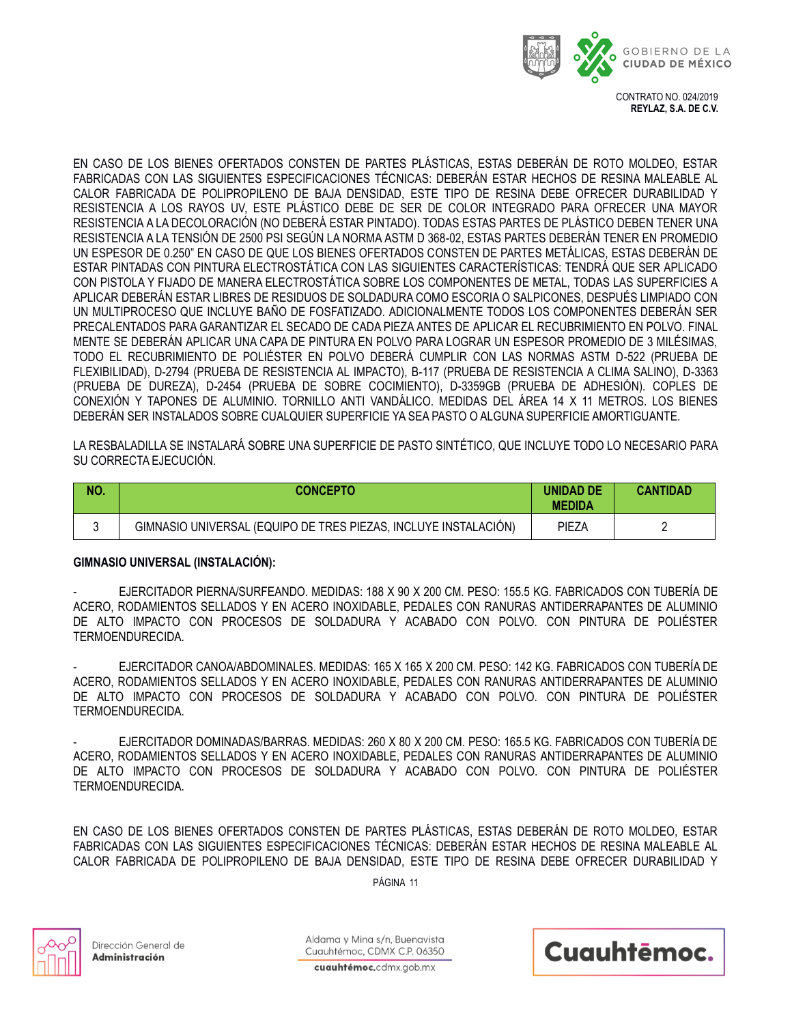

EN CASO DE LOS BIENES OFERTADOS CONSTEN DE PARTES PLÁSTICAS, ESTAS DEBERÁN DE ROTO MOLDEO, ESTAR FABRICADAS CON LAS SIGUIENTES ESPECIFICACIONES TÉCNICAS: DEBERÁN ESTAR HECHOS DE RESINA MALEABLE AL CALOR FABRICADA DE POLIPROPILENO DE BAJA DENSIDAD, ESTE TIPO DE RESINA DEBE OFRECER DURABILIDAD Y RESISTENCIA A LOS RAYOS UV, ESTE PLÁSTICO DEBE DE SER DE COLOR INTEGRADO PARA OFRECER UNA MAYOR RESISTENCIA A LA DECOLORACIÓN (NO DEBERÁ ESTAR PINTADO). TODAS ESTAS PARTES DE PLÁSTICO DEBEN TENER UNA RESISTENCIA A LA TENSIÓN DE 2500 PSI SEGÚN LA NORMA ASTM D 368-02, ESTAS PARTES DEBERÁN TENER EN PROMEDIO UN ESPESOR DE 0.250" EN CASO DE QUE LOS BIENES OFERTADOS CONSTEN DE PARTES METÁLICAS, ESTAS DEBERÁN DE ESTAR PINTADAS CON PINTURA ELECTROSTÁTICA CON LAS SIGUIENTES CARACTERÍSTICAS: TENDRÁ QUE SER APLICADO CON PISTOLA Y FIJADO DE MANERA ELECTROSTÁTICA SOBRE LOS COMPONENTES DE METAL, TODAS LAS SUPERFICIES A APLICAR DEBERÁN ESTAR LIBRES DE RESIDUOS DE SOLDADURA COMO ESCORIA O SALPICONES, DESPUÉS LIMPIADO CON UN MULTIPROCESO QUE INCLUYE BAÑO DE FOSFATIZADO. ADICIONALMENTE TODOS LOS COMPONENTES DEBERÁN SER PRECALENTADOS PARA GARANTIZAR EL SECADO DE CADA PIEZA ANTES DE APLICAR EL RECUBRIMIENTO EN POLVO. FINAL MENTE SE DEBERÁN APLICAR UNA CAPA DE PINTURA EN POLVO PARA LOGRAR UN ESPESOR PROMEDIO DE 3 MILÉSIMAS, TODO EL RECUBRIMIENTO DE POLIÉSTER EN POLVO DEBERÁ CUMPLIR CON LAS NORMAS ASTM D-522 (PRUEBA DE FLEXIBILIDAD), D-2794 (PRUEBA DE RESISTENCIA AL IMPACTO), B-117 (PRUEBA DE RESISTENCIA A CLIMA SALINO), D-3363 (PRUEBA DE DUREZA), D-2454 (PRUEBA DE SOBRE COCIMIENTO), D-3359GB (PRUEBA DE ADHESIÓN). COPLES DE CONEXIÓN Y TAPONES DE ALUMINIO. TORNILLO ANTI VANDÁLICO. MEDIDAS DEL ÁREA 14 X 11 METROS. LOS BIENES DEBERÁN SER INSTALADOS SOBRE CUALQUIER SUPERFICIE YA SEA PASTO O ALGUNA SUPERFICIE AMORTIGUANTE.

LA RESBALADILLA SE INSTALARÁ SOBRE UNA SUPERFICIE DE PASTO SINTÉTICO, QUE INCLUYE TODO LO NECESARIO PARA SU CORRECTA EJECUCIÓN.

| NO. | <b>CONCEPTO</b>                                                 | <b>UNIDAD DE</b><br><b>MEDIDA</b> | <b>CANTIDAD</b> |
|-----|-----------------------------------------------------------------|-----------------------------------|-----------------|
|     | GIMNASIO UNIVERSAL (EQUIPO DE TRES PIEZAS, INCLUYE INSTALACIÓN) | PIEZA                             |                 |

## **GIMNASIO UNIVERSAL (INSTALACIÓN):**

- EJERCITADOR PIERNA/SURFEANDO. MEDIDAS: 188 X 90 X 200 CM. PESO: 155.5 KG. FABRICADOS CON TUBERÍA DE ACERO, RODAMIENTOS SELLADOS Y EN ACERO INOXIDABLE, PEDALES CON RANURAS ANTIDERRAPANTES DE ALUMINIO DE ALTO IMPACTO CON PROCESOS DE SOLDADURA Y ACABADO CON POLVO. CON PINTURA DE POLIÉSTER TERMOENDURECIDA.

- EJERCITADOR CANOA/ABDOMINALES. MEDIDAS: 165 X 165 X 200 CM. PESO: 142 KG. FABRICADOS CON TUBERÍA DE ACERO, RODAMIENTOS SELLADOS Y EN ACERO INOXIDABLE, PEDALES CON RANURAS ANTIDERRAPANTES DE ALUMINIO DE ALTO IMPACTO CON PROCESOS DE SOLDADURA Y ACABADO CON POLVO. CON PINTURA DE POLIÉSTER TERMOENDURECIDA.

- EJERCITADOR DOMINADAS/BARRAS. MEDIDAS: 260 X 80 X 200 CM. PESO: 165.5 KG. FABRICADOS CON TUBERÍA DE ACERO, RODAMIENTOS SELLADOS Y EN ACERO INOXIDABLE, PEDALES CON RANURAS ANTIDERRAPANTES DE ALUMINIO DE ALTO IMPACTO CON PROCESOS DE SOLDADURA Y ACABADO CON POLVO. CON PINTURA DE POLIÉSTER TERMOENDURECIDA.

EN CASO DE LOS BIENES OFERTADOS CONSTEN DE PARTES PLÁSTICAS, ESTAS DEBERÁN DE ROTO MOLDEO, ESTAR FABRICADAS CON LAS SIGUIENTES ESPECIFICACIONES TÉCNICAS: DEBERÁN ESTAR HECHOS DE RESINA MALEABLE AL CALOR FABRICADA DE POLIPROPILENO DE BAJA DENSIDAD, ESTE TIPO DE RESINA DEBE OFRECER DURABILIDAD Y

PÁGINA 11



Dirección General de Administración

Aldama y Mina s/n. Buenavista Cuauhtémoc, CDMX C.P. 06350